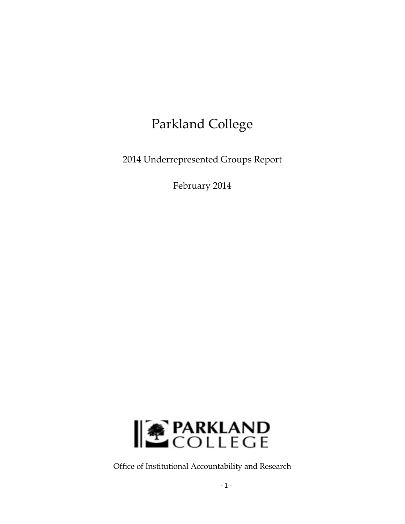# Parkland College

2014 Underrepresented Groups Report

February 2014



Office of Institutional Accountability and Research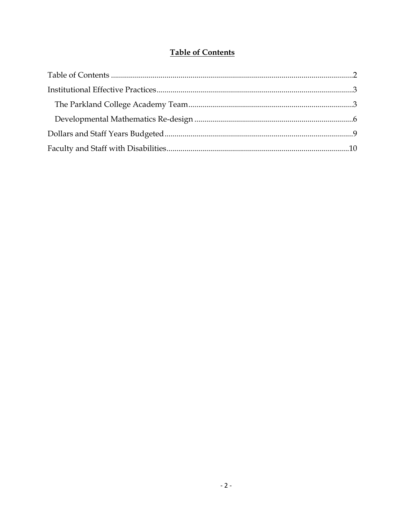#### **Table of Contents**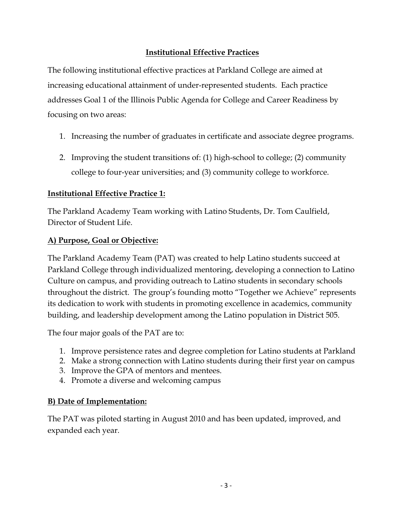#### **Institutional Effective Practices**

The following institutional effective practices at Parkland College are aimed at increasing educational attainment of under-represented students. Each practice addresses Goal 1 of the Illinois Public Agenda for College and Career Readiness by focusing on two areas:

- 1. Increasing the number of graduates in certificate and associate degree programs.
- 2. Improving the student transitions of: (1) high-school to college; (2) community college to four-year universities; and (3) community college to workforce.

#### **Institutional Effective Practice 1:**

The Parkland Academy Team working with Latino Students, Dr. Tom Caulfield, Director of Student Life.

#### **A) Purpose, Goal or Objective:**

The Parkland Academy Team (PAT) was created to help Latino students succeed at Parkland College through individualized mentoring, developing a connection to Latino Culture on campus, and providing outreach to Latino students in secondary schools throughout the district. The group's founding motto "Together we Achieve" represents its dedication to work with students in promoting excellence in academics, community building, and leadership development among the Latino population in District 505.

The four major goals of the PAT are to:

- 1. Improve persistence rates and degree completion for Latino students at Parkland
- 2. Make a strong connection with Latino students during their first year on campus
- 3. Improve the GPA of mentors and mentees.
- 4. Promote a diverse and welcoming campus

#### **B) Date of Implementation:**

The PAT was piloted starting in August 2010 and has been updated, improved, and expanded each year.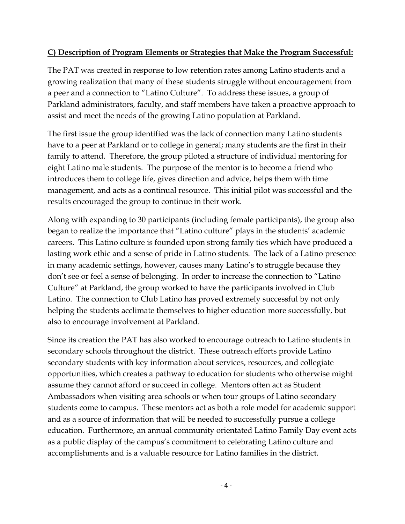#### **C) Description of Program Elements or Strategies that Make the Program Successful:**

The PAT was created in response to low retention rates among Latino students and a growing realization that many of these students struggle without encouragement from a peer and a connection to "Latino Culture". To address these issues, a group of Parkland administrators, faculty, and staff members have taken a proactive approach to assist and meet the needs of the growing Latino population at Parkland.

The first issue the group identified was the lack of connection many Latino students have to a peer at Parkland or to college in general; many students are the first in their family to attend. Therefore, the group piloted a structure of individual mentoring for eight Latino male students. The purpose of the mentor is to become a friend who introduces them to college life, gives direction and advice, helps them with time management, and acts as a continual resource. This initial pilot was successful and the results encouraged the group to continue in their work.

Along with expanding to 30 participants (including female participants), the group also began to realize the importance that "Latino culture" plays in the students' academic careers. This Latino culture is founded upon strong family ties which have produced a lasting work ethic and a sense of pride in Latino students. The lack of a Latino presence in many academic settings, however, causes many Latino's to struggle because they don't see or feel a sense of belonging. In order to increase the connection to "Latino Culture" at Parkland, the group worked to have the participants involved in Club Latino. The connection to Club Latino has proved extremely successful by not only helping the students acclimate themselves to higher education more successfully, but also to encourage involvement at Parkland.

Since its creation the PAT has also worked to encourage outreach to Latino students in secondary schools throughout the district. These outreach efforts provide Latino secondary students with key information about services, resources, and collegiate opportunities, which creates a pathway to education for students who otherwise might assume they cannot afford or succeed in college. Mentors often act as Student Ambassadors when visiting area schools or when tour groups of Latino secondary students come to campus. These mentors act as both a role model for academic support and as a source of information that will be needed to successfully pursue a college education. Furthermore, an annual community orientated Latino Family Day event acts as a public display of the campus's commitment to celebrating Latino culture and accomplishments and is a valuable resource for Latino families in the district.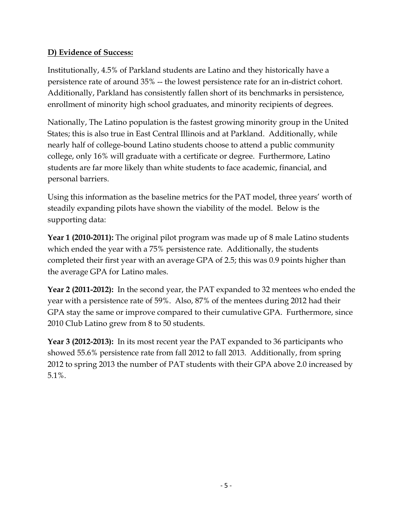## **D) Evidence of Success:**

Institutionally, 4.5% of Parkland students are Latino and they historically have a persistence rate of around 35% -- the lowest persistence rate for an in-district cohort. Additionally, Parkland has consistently fallen short of its benchmarks in persistence, enrollment of minority high school graduates, and minority recipients of degrees.

Nationally, The Latino population is the fastest growing minority group in the United States; this is also true in East Central Illinois and at Parkland. Additionally, while nearly half of college-bound Latino students choose to attend a public community college, only 16% will graduate with a certificate or degree. Furthermore, Latino students are far more likely than white students to face academic, financial, and personal barriers.

Using this information as the baseline metrics for the PAT model, three years' worth of steadily expanding pilots have shown the viability of the model. Below is the supporting data:

**Year 1 (2010-2011):** The original pilot program was made up of 8 male Latino students which ended the year with a 75% persistence rate. Additionally, the students completed their first year with an average GPA of 2.5; this was 0.9 points higher than the average GPA for Latino males.

**Year 2 (2011-2012):** In the second year, the PAT expanded to 32 mentees who ended the year with a persistence rate of 59%. Also, 87% of the mentees during 2012 had their GPA stay the same or improve compared to their cumulative GPA. Furthermore, since 2010 Club Latino grew from 8 to 50 students.

**Year 3 (2012-2013):** In its most recent year the PAT expanded to 36 participants who showed 55.6% persistence rate from fall 2012 to fall 2013. Additionally, from spring 2012 to spring 2013 the number of PAT students with their GPA above 2.0 increased by 5.1%.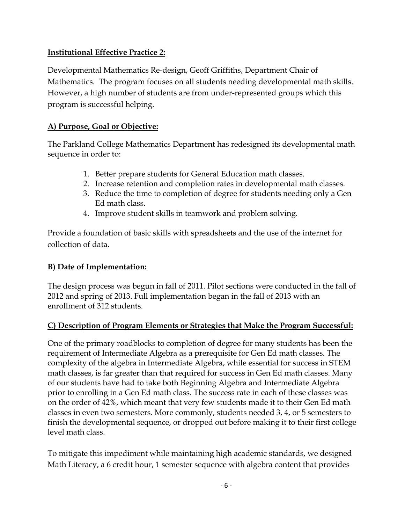### **Institutional Effective Practice 2:**

Developmental Mathematics Re-design, Geoff Griffiths, Department Chair of Mathematics. The program focuses on all students needing developmental math skills. However, a high number of students are from under-represented groups which this program is successful helping.

#### **A) Purpose, Goal or Objective:**

The Parkland College Mathematics Department has redesigned its developmental math sequence in order to:

- 1. Better prepare students for General Education math classes.
- 2. Increase retention and completion rates in developmental math classes.
- 3. Reduce the time to completion of degree for students needing only a Gen Ed math class.
- 4. Improve student skills in teamwork and problem solving.

Provide a foundation of basic skills with spreadsheets and the use of the internet for collection of data.

#### **B) Date of Implementation:**

The design process was begun in fall of 2011. Pilot sections were conducted in the fall of 2012 and spring of 2013. Full implementation began in the fall of 2013 with an enrollment of 312 students.

### **C) Description of Program Elements or Strategies that Make the Program Successful:**

One of the primary roadblocks to completion of degree for many students has been the requirement of Intermediate Algebra as a prerequisite for Gen Ed math classes. The complexity of the algebra in Intermediate Algebra, while essential for success in STEM math classes, is far greater than that required for success in Gen Ed math classes. Many of our students have had to take both Beginning Algebra and Intermediate Algebra prior to enrolling in a Gen Ed math class. The success rate in each of these classes was on the order of 42%, which meant that very few students made it to their Gen Ed math classes in even two semesters. More commonly, students needed 3, 4, or 5 semesters to finish the developmental sequence, or dropped out before making it to their first college level math class.

To mitigate this impediment while maintaining high academic standards, we designed Math Literacy, a 6 credit hour, 1 semester sequence with algebra content that provides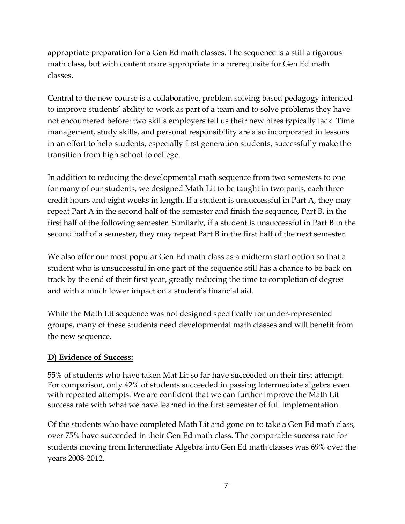appropriate preparation for a Gen Ed math classes. The sequence is a still a rigorous math class, but with content more appropriate in a prerequisite for Gen Ed math classes.

Central to the new course is a collaborative, problem solving based pedagogy intended to improve students' ability to work as part of a team and to solve problems they have not encountered before: two skills employers tell us their new hires typically lack. Time management, study skills, and personal responsibility are also incorporated in lessons in an effort to help students, especially first generation students, successfully make the transition from high school to college.

In addition to reducing the developmental math sequence from two semesters to one for many of our students, we designed Math Lit to be taught in two parts, each three credit hours and eight weeks in length. If a student is unsuccessful in Part A, they may repeat Part A in the second half of the semester and finish the sequence, Part B, in the first half of the following semester. Similarly, if a student is unsuccessful in Part B in the second half of a semester, they may repeat Part B in the first half of the next semester.

We also offer our most popular Gen Ed math class as a midterm start option so that a student who is unsuccessful in one part of the sequence still has a chance to be back on track by the end of their first year, greatly reducing the time to completion of degree and with a much lower impact on a student's financial aid.

While the Math Lit sequence was not designed specifically for under-represented groups, many of these students need developmental math classes and will benefit from the new sequence.

### **D) Evidence of Success:**

55% of students who have taken Mat Lit so far have succeeded on their first attempt. For comparison, only 42% of students succeeded in passing Intermediate algebra even with repeated attempts. We are confident that we can further improve the Math Lit success rate with what we have learned in the first semester of full implementation.

Of the students who have completed Math Lit and gone on to take a Gen Ed math class, over 75% have succeeded in their Gen Ed math class. The comparable success rate for students moving from Intermediate Algebra into Gen Ed math classes was 69% over the years 2008-2012.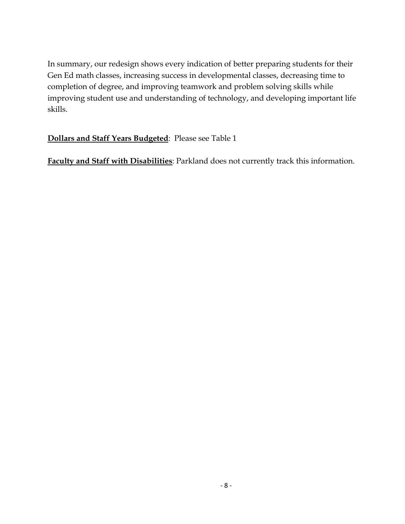In summary, our redesign shows every indication of better preparing students for their Gen Ed math classes, increasing success in developmental classes, decreasing time to completion of degree, and improving teamwork and problem solving skills while improving student use and understanding of technology, and developing important life skills.

### **Dollars and Staff Years Budgeted**: Please see Table 1

**Faculty and Staff with Disabilities**: Parkland does not currently track this information.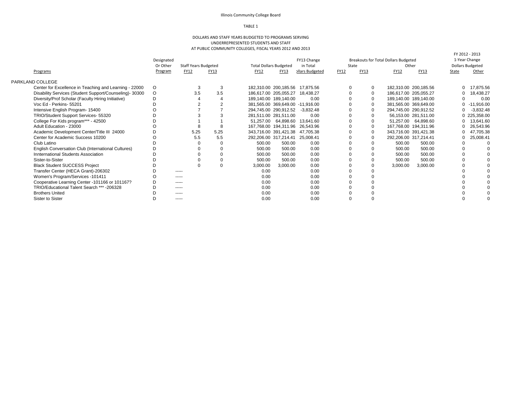#### Illinois Community College Board

#### TABLE 1

#### DOLLARS AND STAFF YEARS BUDGETED TO PROGRAMS SERVING UNDERREPRESENTED STUDENTS AND STAFF AT PUBLIC COMMUNITY COLLEGES, FISCAL YEARS 2012 AND 2013

| Programs                                                 | Designated<br>Or Other<br>Program | <b>Staff Years Budgeted</b><br><b>FY12</b> | FY13        | <b>Total Dollars Budgeted</b><br>FY12 | FY13                             | FY13 Change<br>in Total<br>ollars Budgeted | State<br>FY12 | FY13        | Breakouts for Total Dollars Budgeted<br>Other<br><b>FY12</b> | <b>FY13</b>           | FY 2012 - 2013<br>1-Year Change<br><b>Dollars Budgeted</b><br>State | Other        |
|----------------------------------------------------------|-----------------------------------|--------------------------------------------|-------------|---------------------------------------|----------------------------------|--------------------------------------------|---------------|-------------|--------------------------------------------------------------|-----------------------|---------------------------------------------------------------------|--------------|
|                                                          |                                   |                                            |             |                                       |                                  |                                            |               |             |                                                              |                       |                                                                     |              |
| PARKLAND COLLEGE                                         |                                   |                                            |             |                                       |                                  |                                            |               |             |                                                              |                       |                                                                     |              |
| Center for Excellence in Teaching and Learning - 22000   | O                                 | 3                                          | 3           |                                       | 182.310.00 200.185.56 17.875.56  |                                            |               | $\mathbf 0$ |                                                              | 182,310.00 200,185.56 |                                                                     | 17,875.56    |
| Disability Services (Student Support/Counseling) - 30300 | $\circ$                           | 3.5                                        | 3.5         |                                       | 186.617.00 205.055.27            | 18.438.27                                  |               | $\mathbf 0$ | 186,617.00 205,055.27                                        |                       |                                                                     | 18,438.27    |
| Diversity/Prof Scholar (Faculty Hiring Initiative)       |                                   |                                            |             |                                       | 189,140.00 189,140.00            | 0.00                                       |               | $\Omega$    |                                                              | 189,140.00 189,140.00 |                                                                     | 0.00         |
| Voc Ed - Perkins- 55201                                  |                                   |                                            |             |                                       | 381,565.00 369,649.00 -11,916.00 |                                            |               | $\mathbf 0$ |                                                              | 381,565.00 369,649.00 |                                                                     | $-11,916.00$ |
| Intensive English Program- 15400                         |                                   |                                            |             |                                       | 294,745.00 290,912.52 -3,832.48  |                                            |               | $\mathbf 0$ | 294,745.00 290,912.52                                        |                       |                                                                     | $-3,832.48$  |
| TRIO/Student Support Services- 55320                     |                                   |                                            |             |                                       | 281,511.00 281,511.00            | 0.00                                       |               |             |                                                              | 56,153.00 281,511.00  |                                                                     | 0 225,358.00 |
| College For Kids program*** - 42500                      |                                   |                                            |             |                                       | 51,257.00 64,898.60              | 13,641.60                                  |               | $\Omega$    |                                                              | 51,257.00 64,898.60   |                                                                     | 13,641.60    |
| Adult Education - 23000                                  |                                   | 8                                          | 8           |                                       | 167,768.00 194,311.96 26,543.96  |                                            |               | $\mathbf 0$ | 167.768.00 194.311.96                                        |                       |                                                                     | 26,543.96    |
| Academic Development Center/Title III 24000              |                                   | 5.25                                       | 5.25        |                                       | 343,716.00 391,421.38 47,705.38  |                                            |               | $\mathbf 0$ | 343,716.00 391,421.38                                        |                       |                                                                     | 47,705.38    |
| Center for Academic Success 10200                        |                                   | 5.5                                        | 5.5         |                                       | 292,206.00 317,214.41 25,008.41  |                                            |               |             | 292,206.00 317,214.41                                        |                       |                                                                     | 25,008.41    |
| Club Latino                                              |                                   |                                            |             | 500.00                                | 500.00                           | 0.00                                       |               |             | 500.00                                                       | 500.00                |                                                                     |              |
| English Conversation Club (International Cultures)       |                                   |                                            |             | 500.00                                | 500.00                           | 0.00                                       |               |             | 500.00                                                       | 500.00                |                                                                     |              |
| Innternational Students Association                      |                                   |                                            | $\Omega$    | 500.00                                | 500.00                           | 0.00                                       |               |             | 500.00                                                       | 500.00                |                                                                     |              |
| Sister-to-Sister                                         |                                   |                                            | $\mathbf 0$ | 500.00                                | 500.00                           | 0.00                                       |               |             | 500.00                                                       | 500.00                |                                                                     |              |
| <b>Black Student SUCCESS Project</b>                     |                                   |                                            | $\Omega$    | 3,000.00                              | 3,000.00                         | 0.00                                       |               |             | 3,000.00                                                     | 3,000.00              |                                                                     |              |
| Transfer Center (HECA Grant)-206302                      | D                                 | $- - - - -$                                |             | 0.00                                  |                                  | 0.00                                       |               |             |                                                              |                       |                                                                     |              |
| Women's Program/Services -101411                         | O                                 | -----                                      |             | 0.00                                  |                                  | 0.00                                       |               |             |                                                              |                       |                                                                     |              |
| Cooperative Learning Center -101166 or 101167?           |                                   | -----                                      |             | 0.00                                  |                                  | 0.00                                       |               |             |                                                              |                       |                                                                     |              |
| TRIO/Educational Talent Search *** -206328               |                                   | -----                                      |             | 0.00                                  |                                  | 0.00                                       |               |             |                                                              |                       |                                                                     |              |
| <b>Brothers United</b>                                   |                                   | -----                                      |             | 0.00                                  |                                  | 0.00                                       |               |             |                                                              |                       |                                                                     |              |
| Sister to Sister                                         |                                   | -----                                      |             | 0.00                                  |                                  | 0.00                                       |               |             |                                                              |                       |                                                                     |              |
|                                                          |                                   |                                            |             |                                       |                                  |                                            |               |             |                                                              |                       |                                                                     |              |